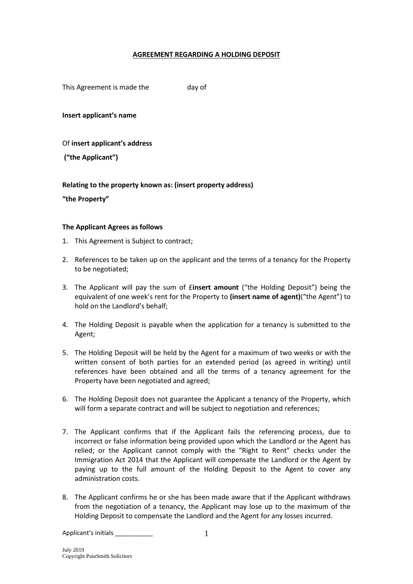## **AGREEMENT REGARDING A HOLDING DEPOSIT**

This Agreement is made the day of

**Insert applicant's name**

Of **insert applicant's address**

**("the Applicant")**

**Relating to the property known as: (insert property address)**

**"the Property"**

## **The Applicant Agrees as follows**

- 1. This Agreement is Subject to contract;
- 2. References to be taken up on the applicant and the terms of a tenancy for the Property to be negotiated;
- 3. The Applicant will pay the sum of £**insert amount** ("the Holding Deposit") being the equivalent of one week's rent for the Property to **(insert name of agent)**("the Agent") to hold on the Landlord's behalf;
- 4. The Holding Deposit is payable when the application for a tenancy is submitted to the Agent;
- 5. The Holding Deposit will be held by the Agent for a maximum of two weeks or with the written consent of both parties for an extended period (as agreed in writing) until references have been obtained and all the terms of a tenancy agreement for the Property have been negotiated and agreed;
- 6. The Holding Deposit does not guarantee the Applicant a tenancy of the Property, which will form a separate contract and will be subject to negotiation and references;
- 7. The Applicant confirms that if the Applicant fails the referencing process, due to incorrect or false information being provided upon which the Landlord or the Agent has relied; or the Applicant cannot comply with the "Right to Rent" checks under the Immigration Act 2014 that the Applicant will compensate the Landlord or the Agent by paying up to the full amount of the Holding Deposit to the Agent to cover any administration costs.
- 8. The Applicant confirms he or she has been made aware that if the Applicant withdraws from the negotiation of a tenancy, the Applicant may lose up to the maximum of the Holding Deposit to compensate the Landlord and the Agent for any losses incurred.

Applicant's initials \_\_\_\_\_\_\_\_\_\_\_